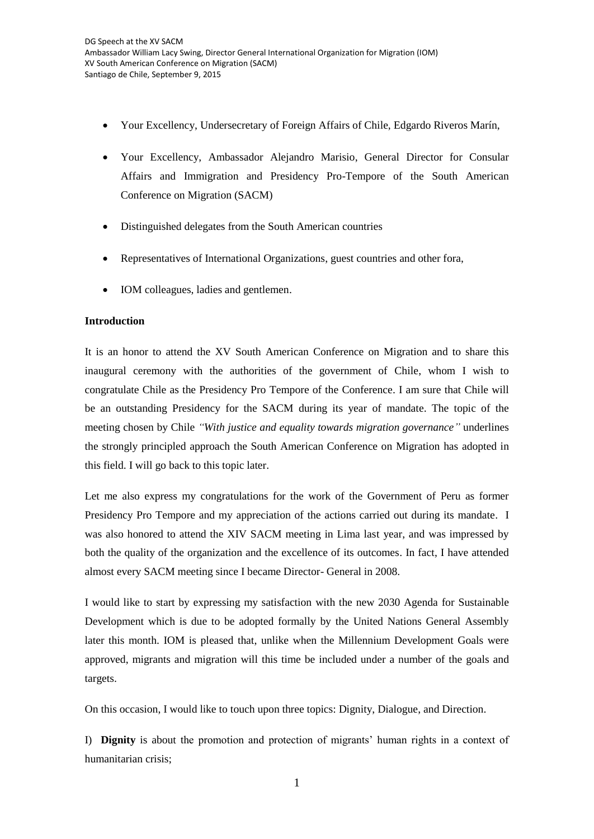- Your Excellency, Undersecretary of Foreign Affairs of Chile, Edgardo Riveros Marín,
- Your Excellency, Ambassador Alejandro Marisio, General Director for Consular Affairs and Immigration and Presidency Pro-Tempore of the South American Conference on Migration (SACM)
- Distinguished delegates from the South American countries
- Representatives of International Organizations, guest countries and other fora,
- IOM colleagues, ladies and gentlemen.

## **Introduction**

It is an honor to attend the XV South American Conference on Migration and to share this inaugural ceremony with the authorities of the government of Chile, whom I wish to congratulate Chile as the Presidency Pro Tempore of the Conference. I am sure that Chile will be an outstanding Presidency for the SACM during its year of mandate. The topic of the meeting chosen by Chile *"With justice and equality towards migration governance"* underlines the strongly principled approach the South American Conference on Migration has adopted in this field. I will go back to this topic later.

Let me also express my congratulations for the work of the Government of Peru as former Presidency Pro Tempore and my appreciation of the actions carried out during its mandate. I was also honored to attend the XIV SACM meeting in Lima last year, and was impressed by both the quality of the organization and the excellence of its outcomes. In fact, I have attended almost every SACM meeting since I became Director- General in 2008.

I would like to start by expressing my satisfaction with the new 2030 Agenda for Sustainable Development which is due to be adopted formally by the United Nations General Assembly later this month. IOM is pleased that, unlike when the Millennium Development Goals were approved, migrants and migration will this time be included under a number of the goals and targets.

On this occasion, I would like to touch upon three topics: Dignity, Dialogue, and Direction.

I) **Dignity** is about the promotion and protection of migrants' human rights in a context of humanitarian crisis;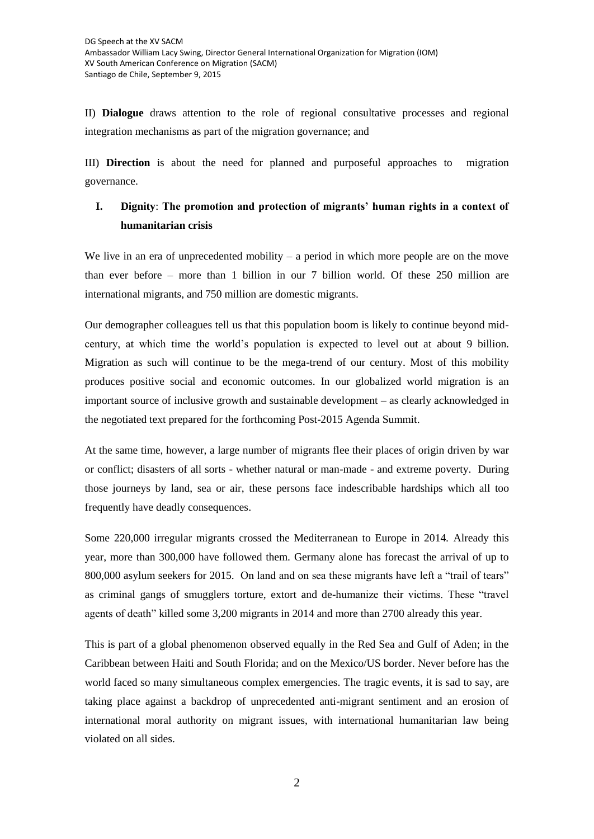II) **Dialogue** draws attention to the role of regional consultative processes and regional integration mechanisms as part of the migration governance; and

III) **Direction** is about the need for planned and purposeful approaches to migration governance.

## **I. Dignity**: **The promotion and protection of migrants' human rights in a context of humanitarian crisis**

We live in an era of unprecedented mobility  $-$  a period in which more people are on the move than ever before – more than 1 billion in our 7 billion world. Of these 250 million are international migrants, and 750 million are domestic migrants.

Our demographer colleagues tell us that this population boom is likely to continue beyond midcentury, at which time the world's population is expected to level out at about 9 billion. Migration as such will continue to be the mega-trend of our century. Most of this mobility produces positive social and economic outcomes. In our globalized world migration is an important source of inclusive growth and sustainable development – as clearly acknowledged in the negotiated text prepared for the forthcoming Post-2015 Agenda Summit.

At the same time, however, a large number of migrants flee their places of origin driven by war or conflict; disasters of all sorts - whether natural or man-made - and extreme poverty. During those journeys by land, sea or air, these persons face indescribable hardships which all too frequently have deadly consequences.

Some 220,000 irregular migrants crossed the Mediterranean to Europe in 2014. Already this year, more than 300,000 have followed them. Germany alone has forecast the arrival of up to 800,000 asylum seekers for 2015. On land and on sea these migrants have left a "trail of tears" as criminal gangs of smugglers torture, extort and de-humanize their victims. These "travel agents of death" killed some 3,200 migrants in 2014 and more than 2700 already this year.

This is part of a global phenomenon observed equally in the Red Sea and Gulf of Aden; in the Caribbean between Haiti and South Florida; and on the Mexico/US border. Never before has the world faced so many simultaneous complex emergencies. The tragic events, it is sad to say, are taking place against a backdrop of unprecedented anti-migrant sentiment and an erosion of international moral authority on migrant issues, with international humanitarian law being violated on all sides.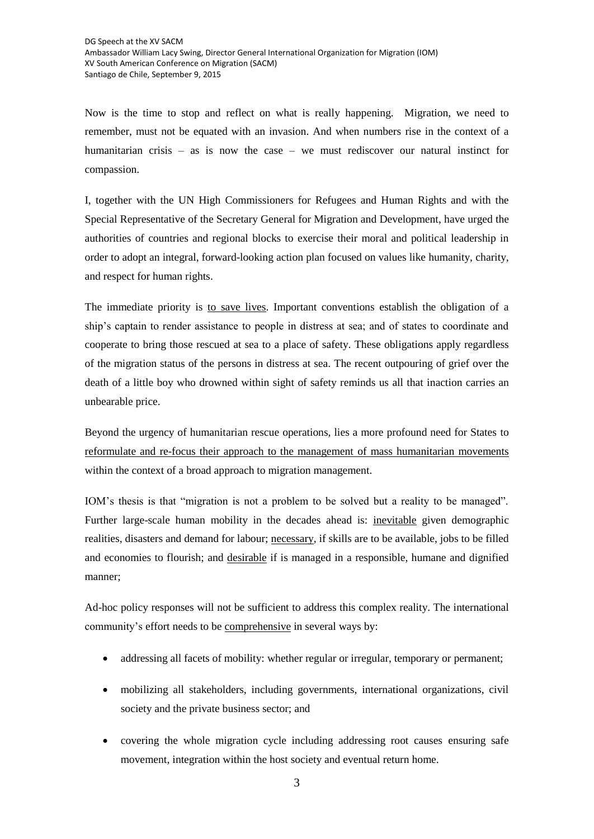Now is the time to stop and reflect on what is really happening. Migration, we need to remember, must not be equated with an invasion. And when numbers rise in the context of a humanitarian crisis – as is now the case – we must rediscover our natural instinct for compassion.

I, together with the UN High Commissioners for Refugees and Human Rights and with the Special Representative of the Secretary General for Migration and Development, have urged the authorities of countries and regional blocks to exercise their moral and political leadership in order to adopt an integral, forward-looking action plan focused on values like humanity, charity, and respect for human rights.

The immediate priority is to save lives. Important conventions establish the obligation of a ship's captain to render assistance to people in distress at sea; and of states to coordinate and cooperate to bring those rescued at sea to a place of safety. These obligations apply regardless of the migration status of the persons in distress at sea. The recent outpouring of grief over the death of a little boy who drowned within sight of safety reminds us all that inaction carries an unbearable price.

Beyond the urgency of humanitarian rescue operations, lies a more profound need for States to reformulate and re-focus their approach to the management of mass humanitarian movements within the context of a broad approach to migration management.

IOM's thesis is that "migration is not a problem to be solved but a reality to be managed". Further large-scale human mobility in the decades ahead is: inevitable given demographic realities, disasters and demand for labour; necessary, if skills are to be available, jobs to be filled and economies to flourish; and desirable if is managed in a responsible, humane and dignified manner;

Ad-hoc policy responses will not be sufficient to address this complex reality. The international community's effort needs to be comprehensive in several ways by:

- addressing all facets of mobility: whether regular or irregular, temporary or permanent;
- mobilizing all stakeholders, including governments, international organizations, civil society and the private business sector; and
- covering the whole migration cycle including addressing root causes ensuring safe movement, integration within the host society and eventual return home.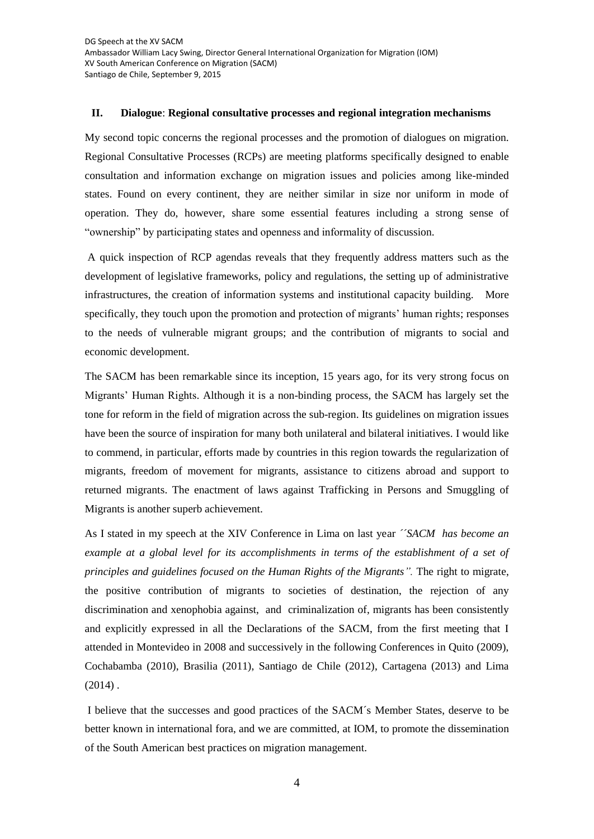## **II. Dialogue**: **Regional consultative processes and regional integration mechanisms**

My second topic concerns the regional processes and the promotion of dialogues on migration. Regional Consultative Processes (RCPs) are meeting platforms specifically designed to enable consultation and information exchange on migration issues and policies among like-minded states. Found on every continent, they are neither similar in size nor uniform in mode of operation. They do, however, share some essential features including a strong sense of "ownership" by participating states and openness and informality of discussion.

A quick inspection of RCP agendas reveals that they frequently address matters such as the development of legislative frameworks, policy and regulations, the setting up of administrative infrastructures, the creation of information systems and institutional capacity building. More specifically, they touch upon the promotion and protection of migrants' human rights; responses to the needs of vulnerable migrant groups; and the contribution of migrants to social and economic development.

The SACM has been remarkable since its inception, 15 years ago, for its very strong focus on Migrants' Human Rights. Although it is a non-binding process, the SACM has largely set the tone for reform in the field of migration across the sub-region. Its guidelines on migration issues have been the source of inspiration for many both unilateral and bilateral initiatives. I would like to commend, in particular, efforts made by countries in this region towards the regularization of migrants, freedom of movement for migrants, assistance to citizens abroad and support to returned migrants. The enactment of laws against Trafficking in Persons and Smuggling of Migrants is another superb achievement.

As I stated in my speech at the XIV Conference in Lima on last year *´´SACM has become an example at a global level for its accomplishments in terms of the establishment of a set of principles and guidelines focused on the Human Rights of the Migrants".* The right to migrate, the positive contribution of migrants to societies of destination, the rejection of any discrimination and xenophobia against, and criminalization of, migrants has been consistently and explicitly expressed in all the Declarations of the SACM, from the first meeting that I attended in Montevideo in 2008 and successively in the following Conferences in Quito (2009), Cochabamba (2010), Brasilia (2011), Santiago de Chile (2012), Cartagena (2013) and Lima  $(2014)$ .

I believe that the successes and good practices of the SACM´s Member States, deserve to be better known in international fora, and we are committed, at IOM, to promote the dissemination of the South American best practices on migration management.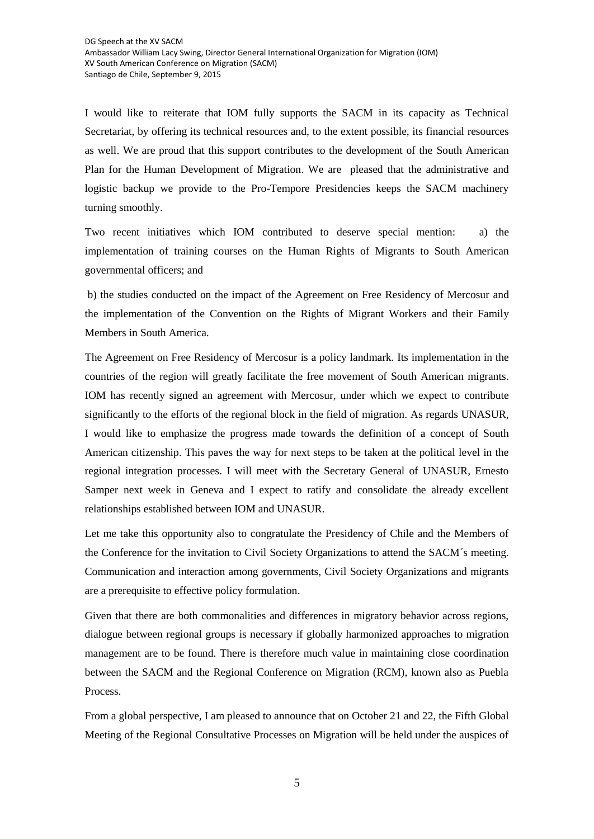I would like to reiterate that IOM fully supports the SACM in its capacity as Technical Secretariat, by offering its technical resources and, to the extent possible, its financial resources as well. We are proud that this support contributes to the development of the South American Plan for the Human Development of Migration. We are pleased that the administrative and logistic backup we provide to the Pro-Tempore Presidencies keeps the SACM machinery turning smoothly.

Two recent initiatives which IOM contributed to deserve special mention: a) the implementation of training courses on the Human Rights of Migrants to South American governmental officers; and

b) the studies conducted on the impact of the Agreement on Free Residency of Mercosur and the implementation of the Convention on the Rights of Migrant Workers and their Family Members in South America.

The Agreement on Free Residency of Mercosur is a policy landmark. Its implementation in the countries of the region will greatly facilitate the free movement of South American migrants. IOM has recently signed an agreement with Mercosur, under which we expect to contribute significantly to the efforts of the regional block in the field of migration. As regards UNASUR, I would like to emphasize the progress made towards the definition of a concept of South American citizenship. This paves the way for next steps to be taken at the political level in the regional integration processes. I will meet with the Secretary General of UNASUR, Ernesto Samper next week in Geneva and I expect to ratify and consolidate the already excellent relationships established between IOM and UNASUR.

Let me take this opportunity also to congratulate the Presidency of Chile and the Members of the Conference for the invitation to Civil Society Organizations to attend the SACM´s meeting. Communication and interaction among governments, Civil Society Organizations and migrants are a prerequisite to effective policy formulation.

Given that there are both commonalities and differences in migratory behavior across regions, dialogue between regional groups is necessary if globally harmonized approaches to migration management are to be found. There is therefore much value in maintaining close coordination between the SACM and the Regional Conference on Migration (RCM), known also as Puebla Process.

From a global perspective, I am pleased to announce that on October 21 and 22, the Fifth Global Meeting of the Regional Consultative Processes on Migration will be held under the auspices of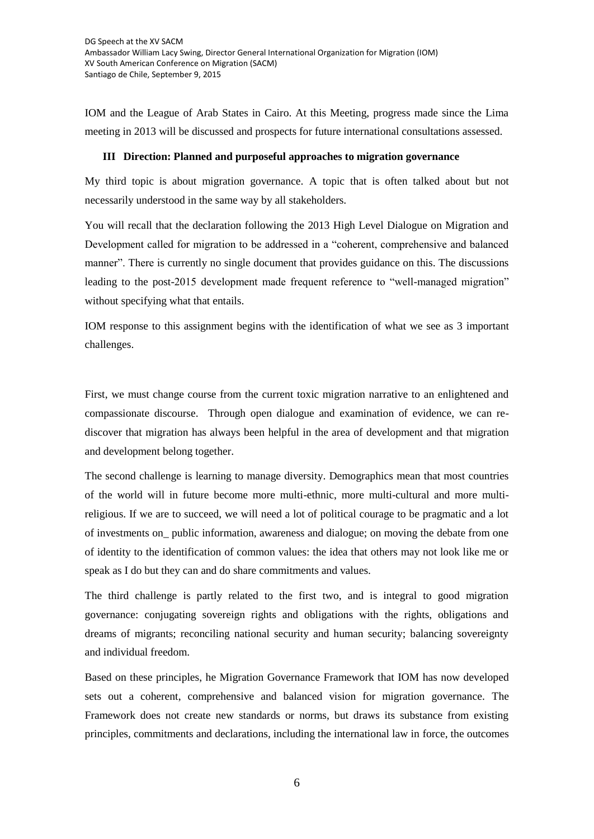IOM and the League of Arab States in Cairo. At this Meeting, progress made since the Lima meeting in 2013 will be discussed and prospects for future international consultations assessed.

## **III Direction: Planned and purposeful approaches to migration governance**

My third topic is about migration governance. A topic that is often talked about but not necessarily understood in the same way by all stakeholders.

You will recall that the declaration following the 2013 High Level Dialogue on Migration and Development called for migration to be addressed in a "coherent, comprehensive and balanced manner". There is currently no single document that provides guidance on this. The discussions leading to the post-2015 development made frequent reference to "well-managed migration" without specifying what that entails.

IOM response to this assignment begins with the identification of what we see as 3 important challenges.

First, we must change course from the current toxic migration narrative to an enlightened and compassionate discourse. Through open dialogue and examination of evidence, we can rediscover that migration has always been helpful in the area of development and that migration and development belong together.

The second challenge is learning to manage diversity. Demographics mean that most countries of the world will in future become more multi-ethnic, more multi-cultural and more multireligious. If we are to succeed, we will need a lot of political courage to be pragmatic and a lot of investments on\_ public information, awareness and dialogue; on moving the debate from one of identity to the identification of common values: the idea that others may not look like me or speak as I do but they can and do share commitments and values.

The third challenge is partly related to the first two, and is integral to good migration governance: conjugating sovereign rights and obligations with the rights, obligations and dreams of migrants; reconciling national security and human security; balancing sovereignty and individual freedom.

Based on these principles, he Migration Governance Framework that IOM has now developed sets out a coherent, comprehensive and balanced vision for migration governance. The Framework does not create new standards or norms, but draws its substance from existing principles, commitments and declarations, including the international law in force, the outcomes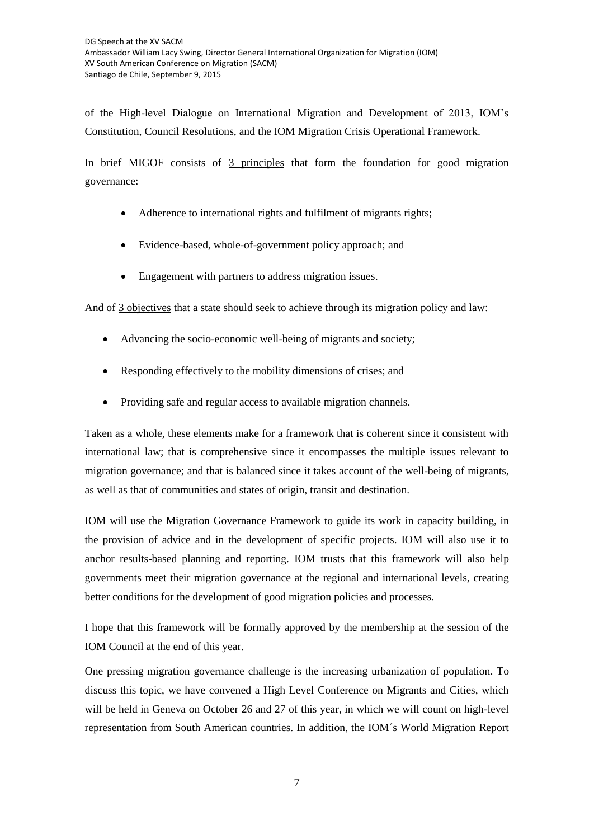of the High-level Dialogue on International Migration and Development of 2013, IOM's Constitution, Council Resolutions, and the IOM Migration Crisis Operational Framework.

In brief MIGOF consists of 3 principles that form the foundation for good migration governance:

- Adherence to international rights and fulfilment of migrants rights;
- Evidence-based, whole-of-government policy approach; and
- Engagement with partners to address migration issues.

And of 3 objectives that a state should seek to achieve through its migration policy and law:

- Advancing the socio-economic well-being of migrants and society;
- Responding effectively to the mobility dimensions of crises; and
- Providing safe and regular access to available migration channels.

Taken as a whole, these elements make for a framework that is coherent since it consistent with international law; that is comprehensive since it encompasses the multiple issues relevant to migration governance; and that is balanced since it takes account of the well-being of migrants, as well as that of communities and states of origin, transit and destination.

IOM will use the Migration Governance Framework to guide its work in capacity building, in the provision of advice and in the development of specific projects. IOM will also use it to anchor results-based planning and reporting. IOM trusts that this framework will also help governments meet their migration governance at the regional and international levels, creating better conditions for the development of good migration policies and processes.

I hope that this framework will be formally approved by the membership at the session of the IOM Council at the end of this year.

One pressing migration governance challenge is the increasing urbanization of population. To discuss this topic, we have convened a High Level Conference on Migrants and Cities, which will be held in Geneva on October 26 and 27 of this year, in which we will count on high-level representation from South American countries. In addition, the IOM´s World Migration Report